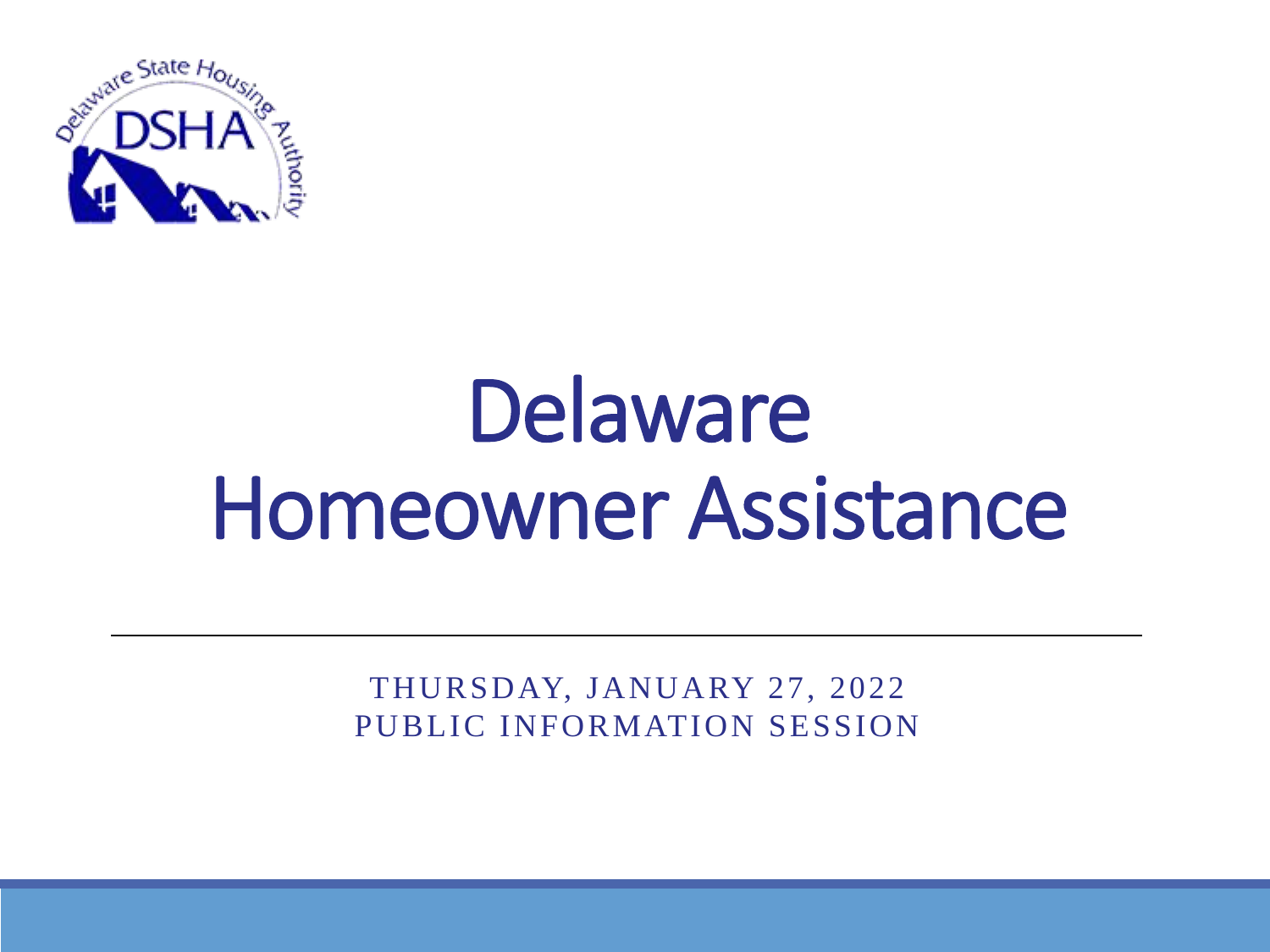

# Delaware Homeowner Assistance

THURSDAY, JANUARY 27, 2022 PUBLIC INFORMATION SESSION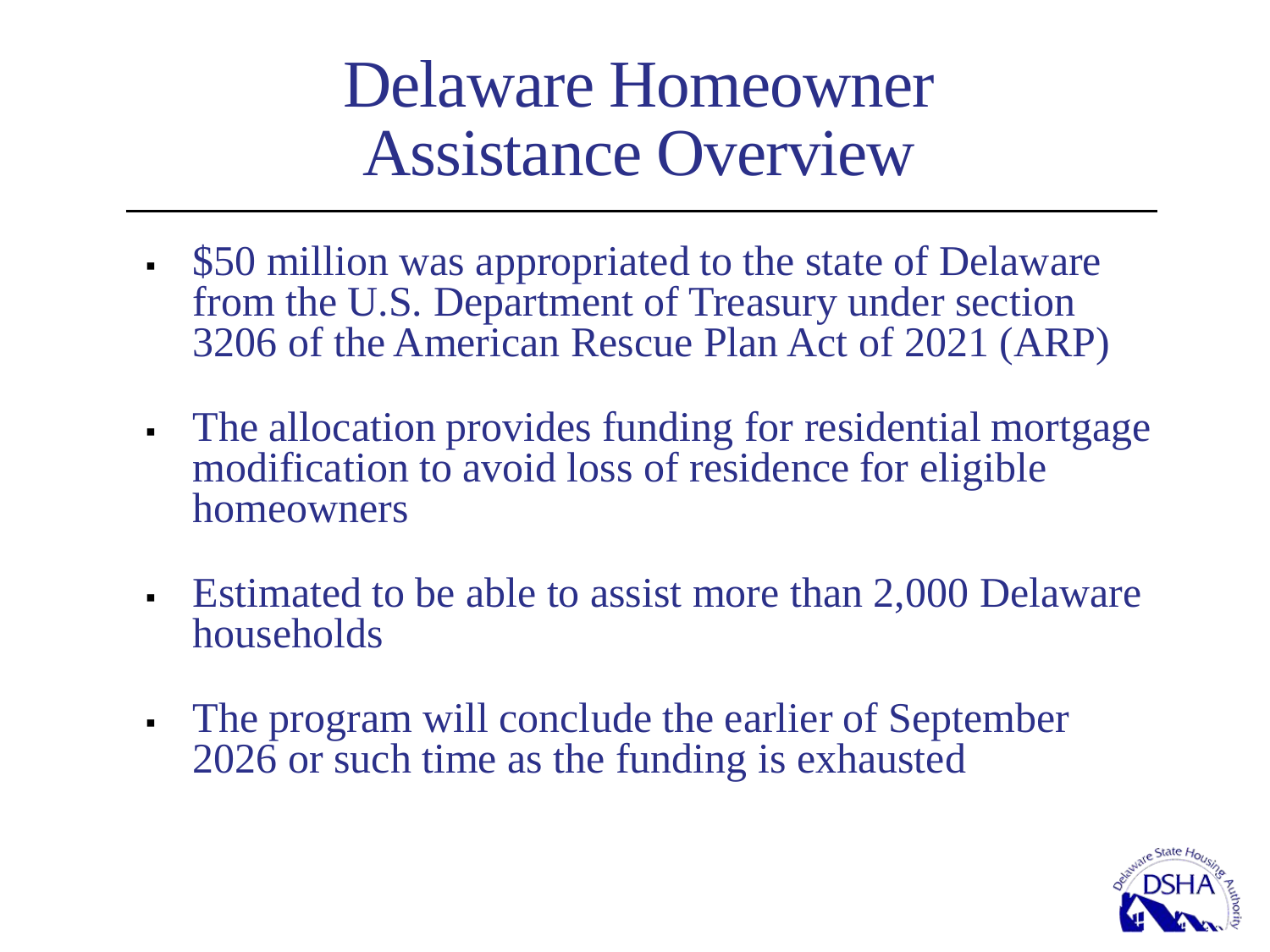### Delaware Homeowner Assistance Overview

- \$50 million was appropriated to the state of Delaware from the U.S. Department of Treasury under section 3206 of the American Rescue Plan Act of 2021 (ARP)
- The allocation provides funding for residential mortgage modification to avoid loss of residence for eligible homeowners
- Estimated to be able to assist more than 2,000 Delaware households
- The program will conclude the earlier of September 2026 or such time as the funding is exhausted

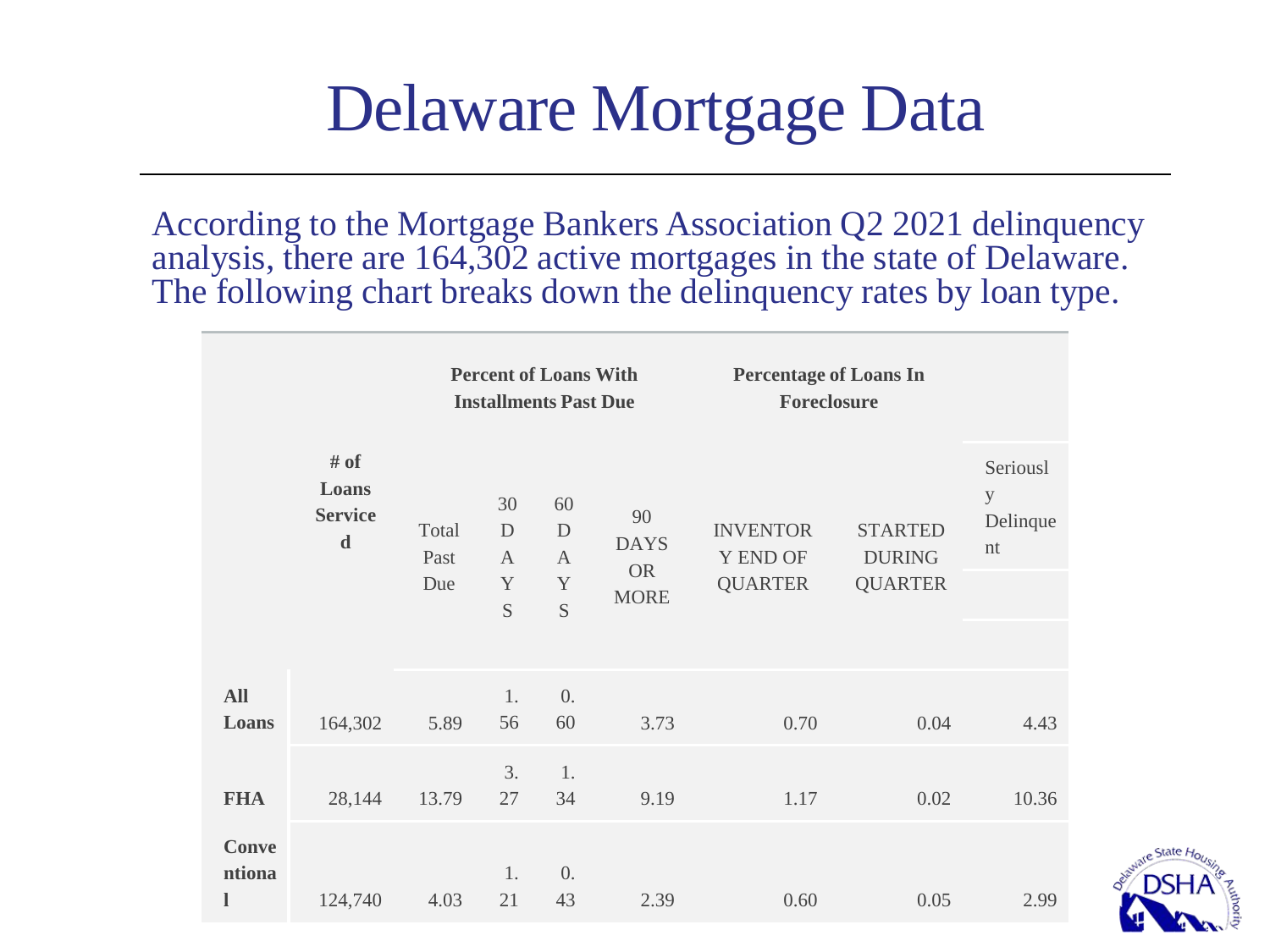### Delaware Mortgage Data

According to the Mortgage Bankers Association Q2 2021 delinquency analysis, there are 164,302 active mortgages in the state of Delaware. The following chart breaks down the delinquency rates by loan type.

|                             |                                                | <b>Percent of Loans With</b><br><b>Installments Past Due</b> |                                   |                                   |                                | <b>Percentage of Loans In</b><br><b>Foreclosure</b> |                                 |                                 |
|-----------------------------|------------------------------------------------|--------------------------------------------------------------|-----------------------------------|-----------------------------------|--------------------------------|-----------------------------------------------------|---------------------------------|---------------------------------|
|                             | # of<br>Loans<br><b>Service</b><br>$\mathbf d$ | Total<br>Past                                                | 30<br>$\mathbf D$<br>$\mathsf{A}$ | 60<br>$\mathbf D$<br>$\mathbf{A}$ | 90<br><b>DAYS</b><br><b>OR</b> | <b>INVENTOR</b><br><b>Y END OF</b>                  | <b>STARTED</b><br><b>DURING</b> | Seriousl<br>y<br>Delinque<br>nt |
|                             |                                                | Due                                                          | Y<br>S                            | $\mathbf Y$<br>S                  | <b>MORE</b>                    | <b>QUARTER</b>                                      | <b>QUARTER</b>                  |                                 |
| <b>All</b><br>Loans         | 164,302                                        | 5.89                                                         | 1.<br>56                          | $\overline{0}$ .<br>60            | 3.73                           | 0.70                                                | 0.04                            | 4.43                            |
| <b>FHA</b>                  | 28,144                                         | 13.79                                                        | 3.<br>27                          | 1.<br>34                          | 9.19                           | 1.17                                                | 0.02                            | 10.36                           |
| <b>Conve</b><br>ntiona<br>l | 124,740                                        | 4.03                                                         | 1.<br>21                          | $\overline{0}$ .<br>43            | 2.39                           | 0.60                                                | 0.05                            | 2.99                            |

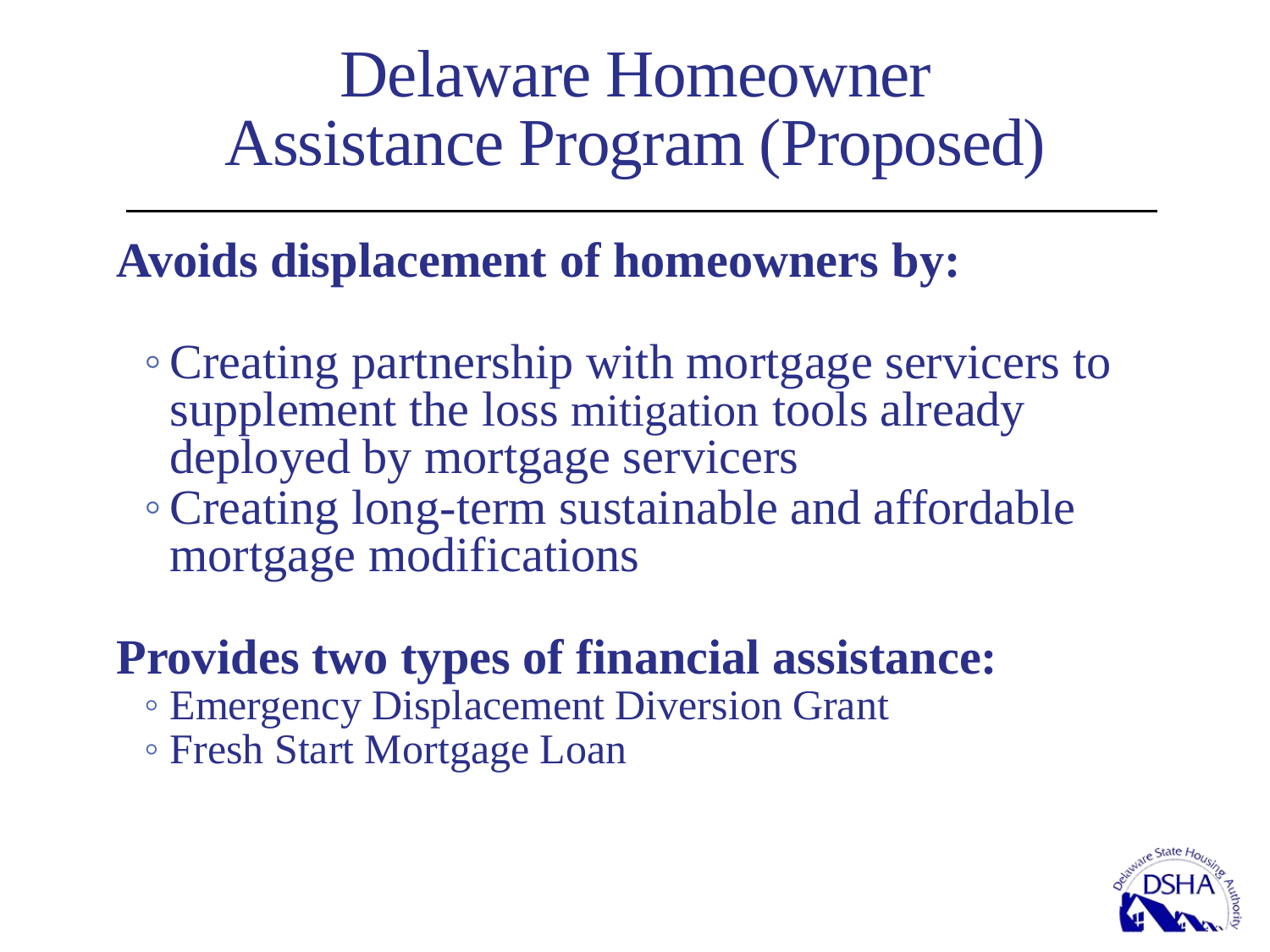### Delaware Homeowner Assistance Program (Proposed)

### **Avoids displacement of homeowners by:**

- ◦Creating partnership with mortgage servicers to supplement the loss mitigation tools already deployed by mortgage servicers ◦Creating long-term sustainable and affordable
- mortgage modifications

### **Provides two types of financial assistance:**

- Emergency Displacement Diversion Grant
- Fresh Start Mortgage Loan

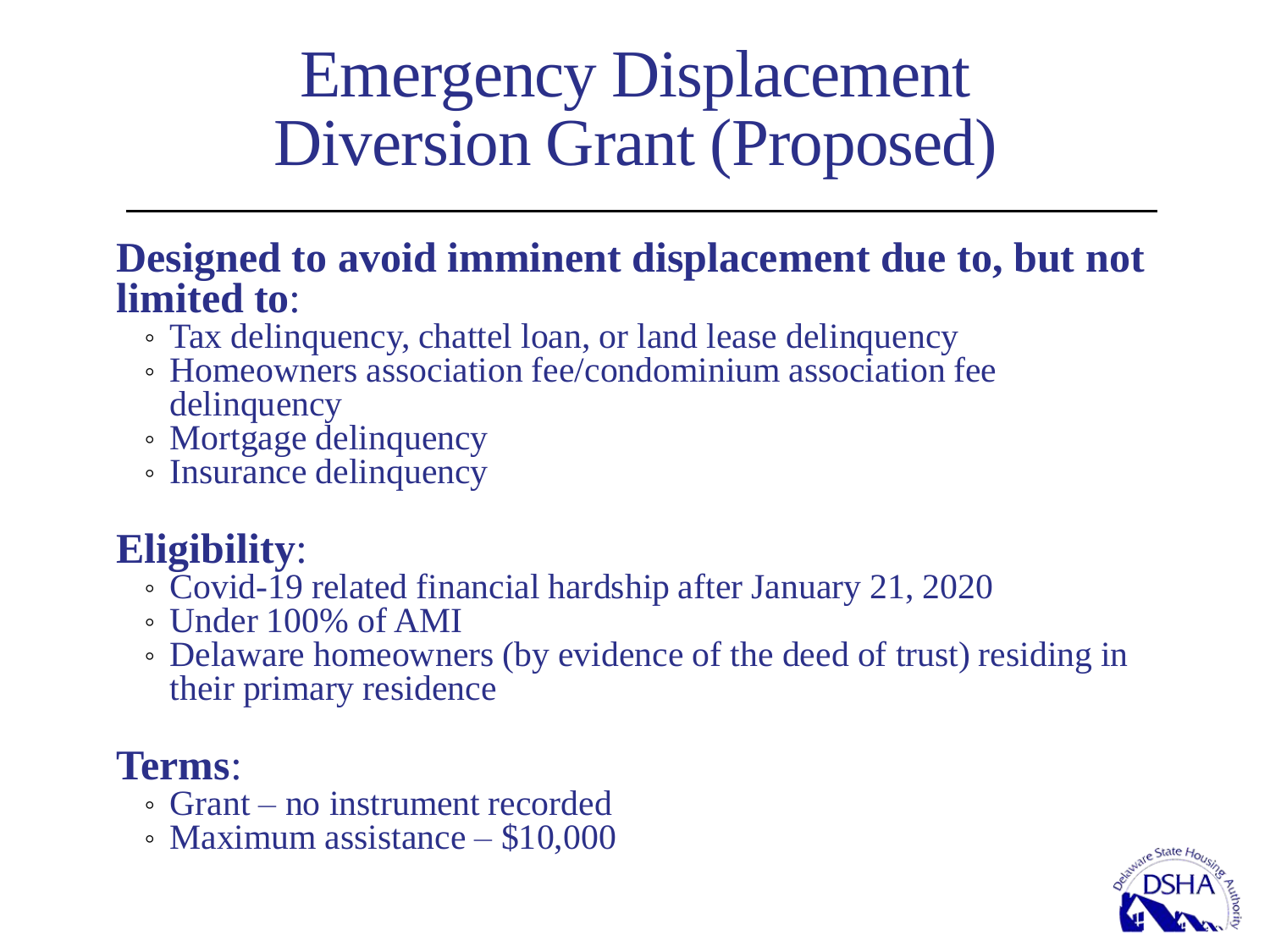### Emergency Displacement Diversion Grant (Proposed)

#### **Designed to avoid imminent displacement due to, but not limited to**:

- Tax delinquency, chattel loan, or land lease delinquency
- Homeowners association fee/condominium association fee delinquency
- Mortgage delinquency
- Insurance delinquency

### **Eligibility**:

- Covid-19 related financial hardship after January 21, 2020
- Under 100% of AMI
- Delaware homeowners (by evidence of the deed of trust) residing in their primary residence

### **Terms**:

- Grant no instrument recorded
- Maximum assistance \$10,000

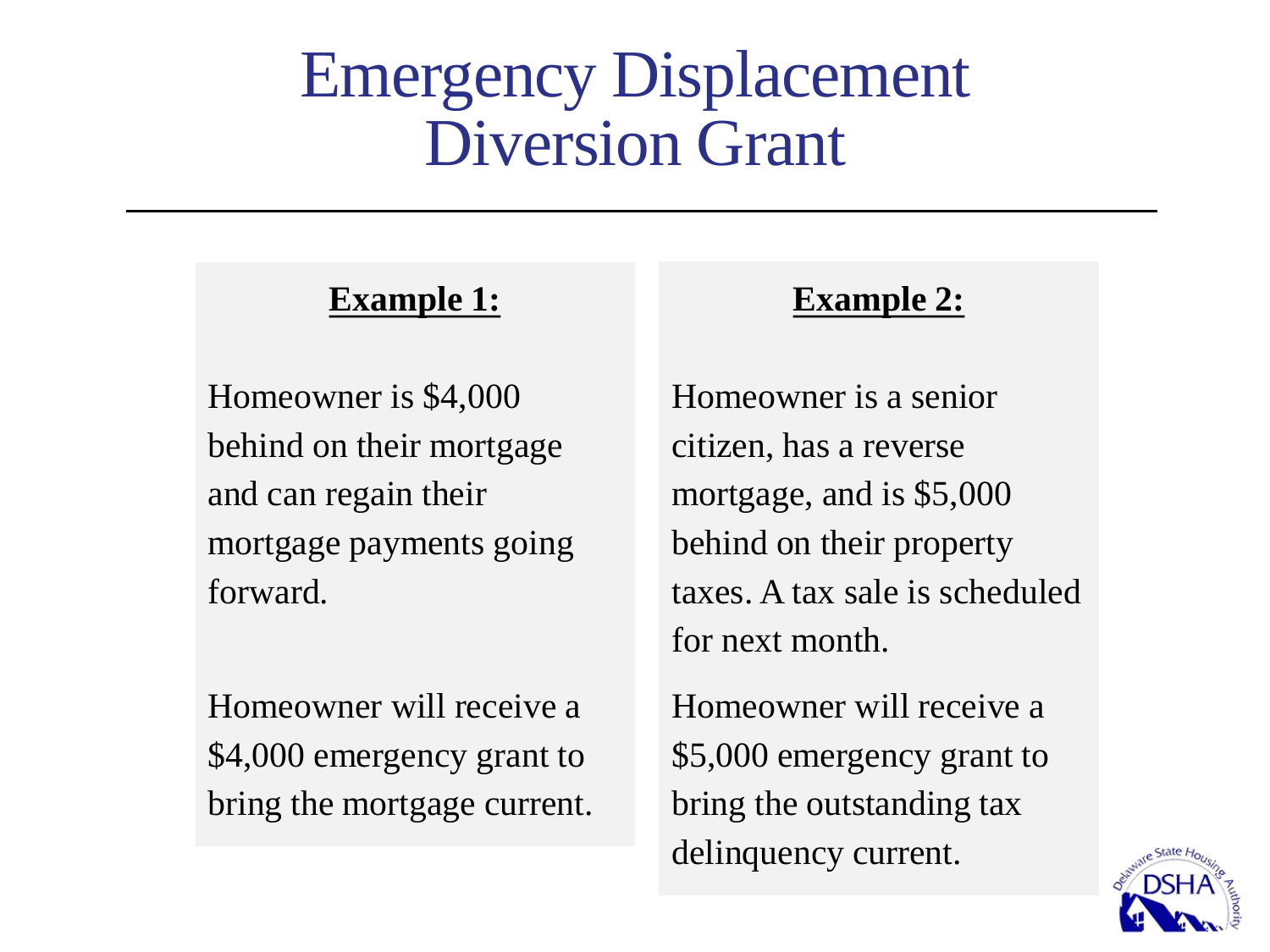### Emergency Displacement Diversion Grant

#### **Example 1:**

Homeowner is \$4,000 behind on their mortgage and can regain their mortgage payments going forward.

Homeowner will receive a \$4,000 emergency grant to bring the mortgage current.

#### **Example 2:**

Homeowner is a senior citizen, has a reverse mortgage, and is \$5,000 behind on their property taxes. A tax sale is scheduled for next month.

Homeowner will receive a \$5,000 emergency grant to bring the outstanding tax delinquency current.

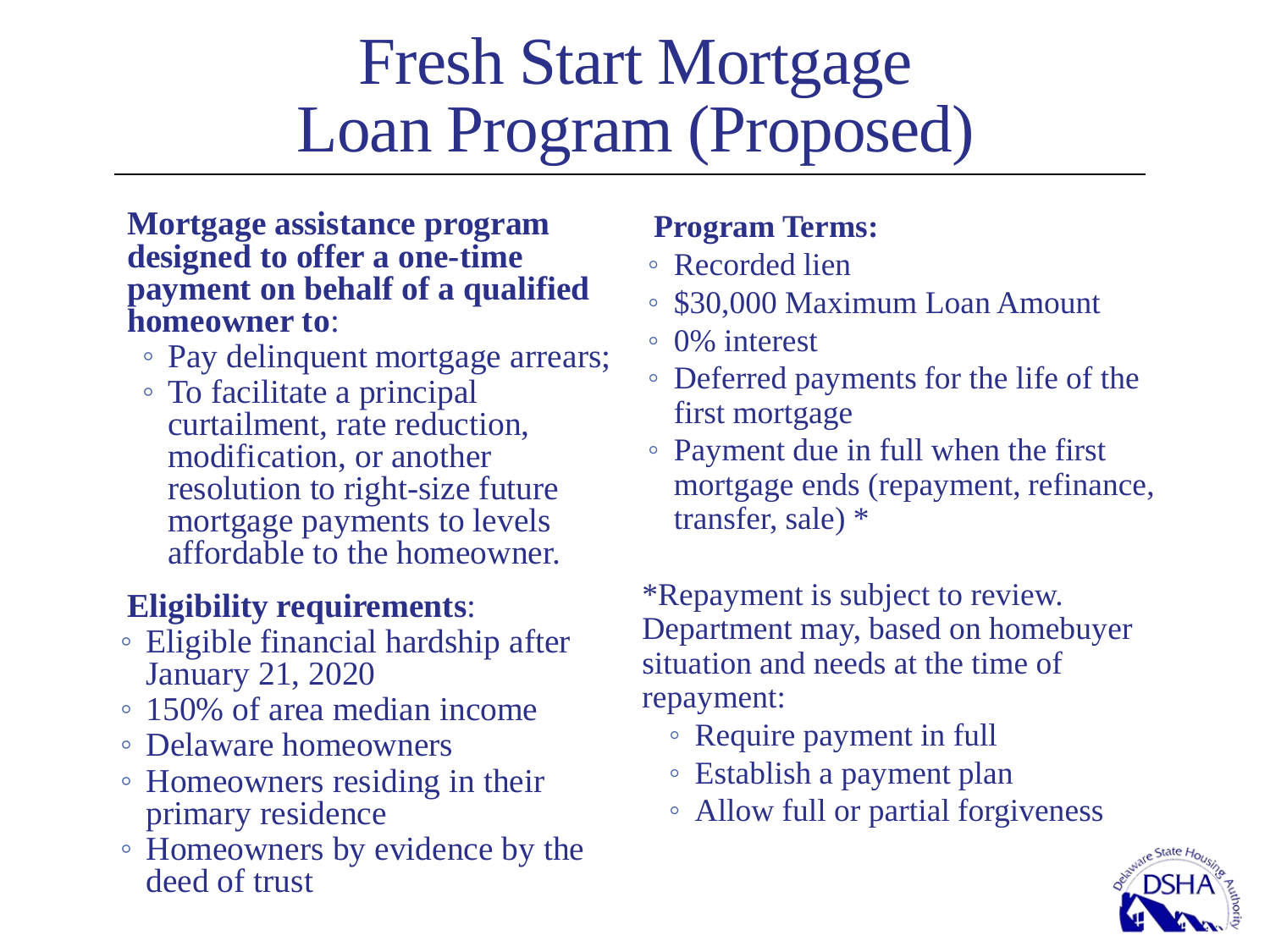### Fresh Start Mortgage Loan Program (Proposed)

#### **Mortgage assistance program designed to offer a one-time payment on behalf of a qualified homeowner to**:

- Pay delinquent mortgage arrears;
- To facilitate a principal curtailment, rate reduction, modification, or another resolution to right-size future mortgage payments to levels affordable to the homeowner.

#### **Eligibility requirements**:

- Eligible financial hardship after January 21, 2020
- 150% of area median income
- Delaware homeowners
- Homeowners residing in their primary residence
- Homeowners by evidence by the deed of trust

#### **Program Terms:**

- Recorded lien
- \$30,000 Maximum Loan Amount
- 0% interest
- Deferred payments for the life of the first mortgage
- Payment due in full when the first mortgage ends (repayment, refinance, transfer, sale) \*

\*Repayment is subject to review. Department may, based on homebuyer situation and needs at the time of repayment:

- Require payment in full
- Establish a payment plan
- Allow full or partial forgiveness

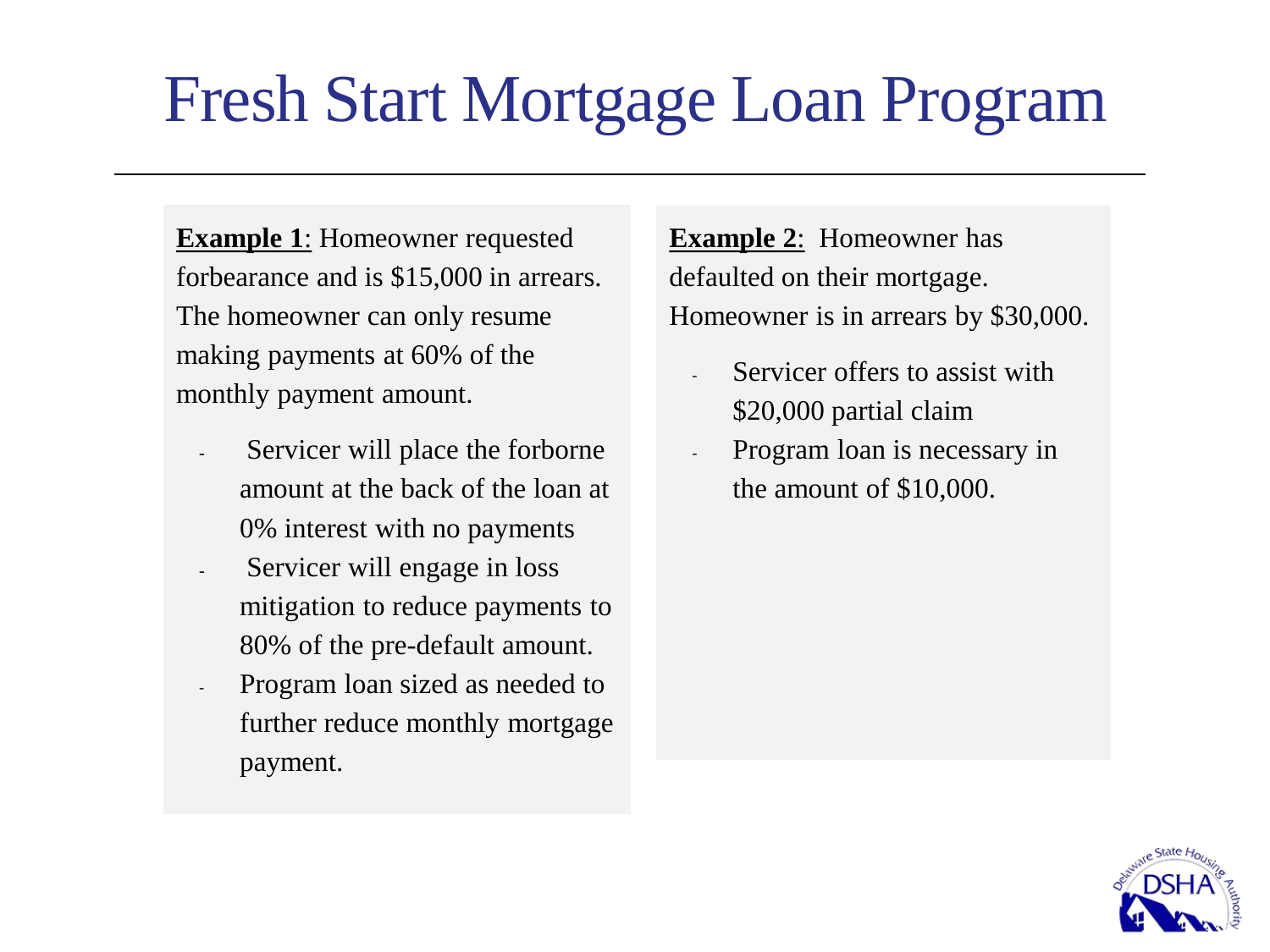## Fresh Start Mortgage Loan Program

**Example 1**: Homeowner requested forbearance and is \$15,000 in arrears. The homeowner can only resume making payments at 60% of the monthly payment amount.

- Servicer will place the forborne amount at the back of the loan at 0% interest with no payments
- Servicer will engage in loss mitigation to reduce payments to 80% of the pre-default amount.
- Program loan sized as needed to further reduce monthly mortgage payment.

**Example 2**: Homeowner has defaulted on their mortgage. Homeowner is in arrears by \$30,000.

- Servicer offers to assist with \$20,000 partial claim
- Program loan is necessary in the amount of \$10,000.

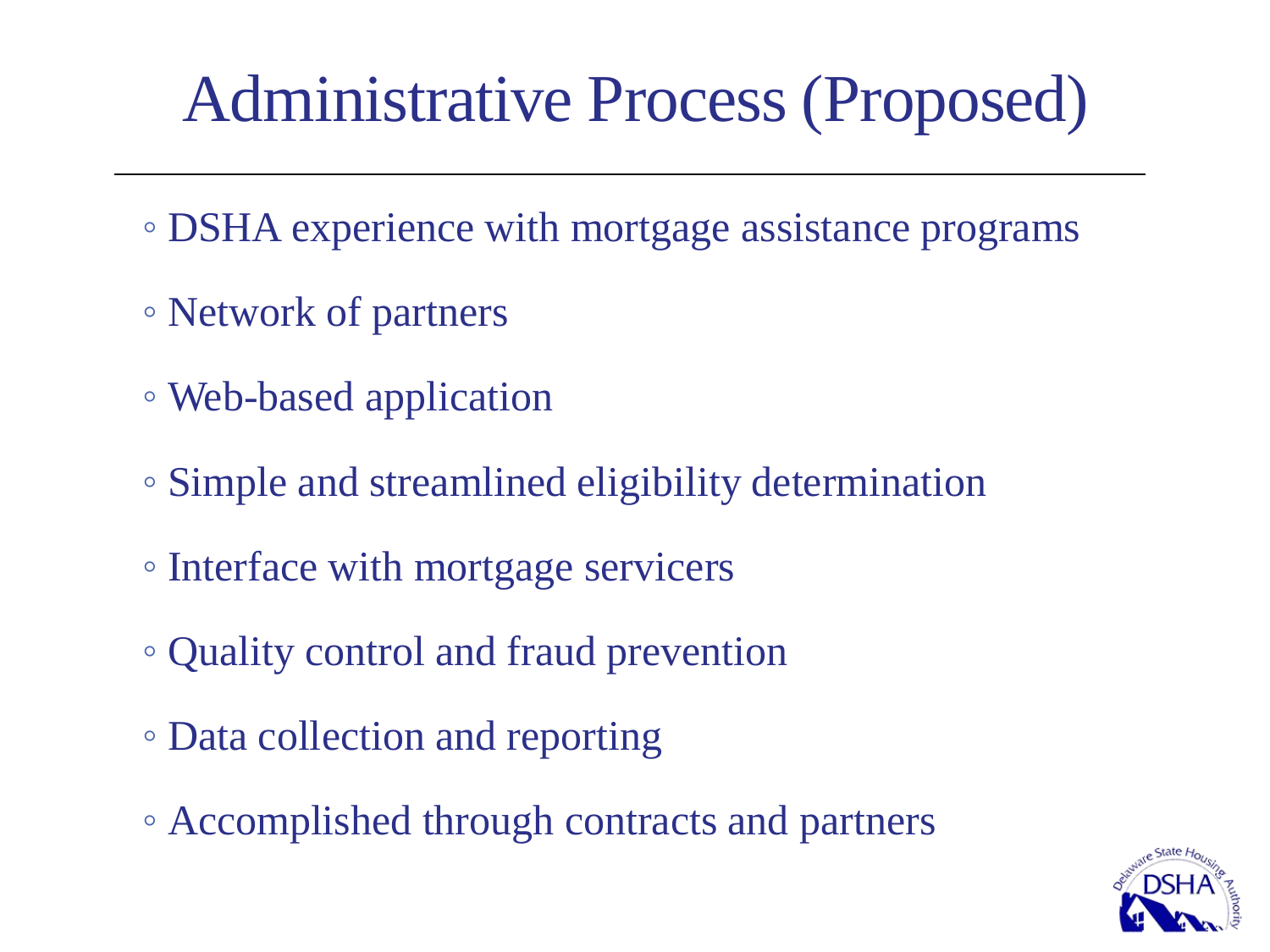## Administrative Process (Proposed)

- DSHA experience with mortgage assistance programs
- Network of partners
- Web-based application
- Simple and streamlined eligibility determination
- Interface with mortgage servicers
- Quality control and fraud prevention
- Data collection and reporting
- Accomplished through contracts and partners

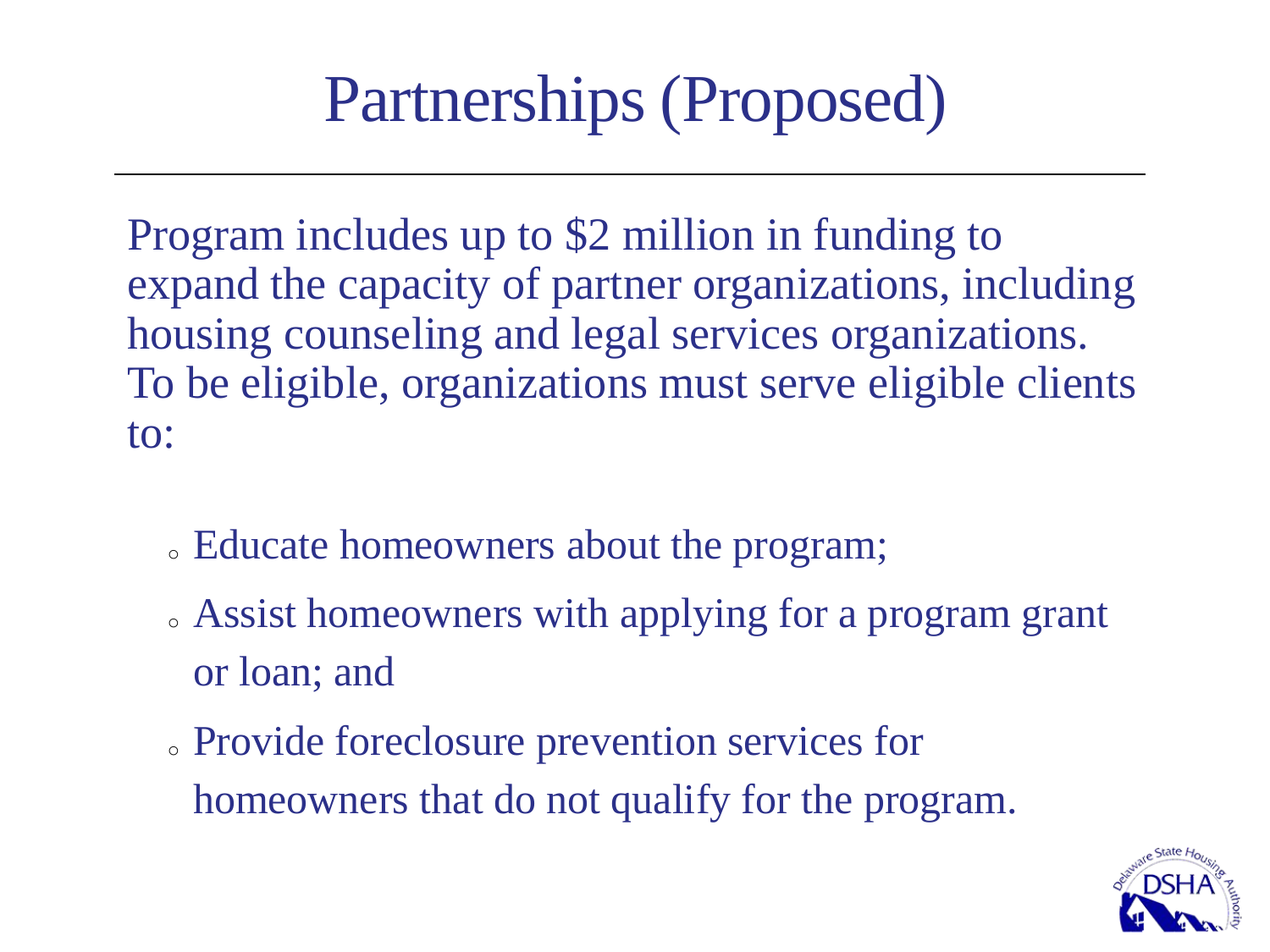## Partnerships (Proposed)

Program includes up to \$2 million in funding to expand the capacity of partner organizations, including housing counseling and legal services organizations. To be eligible, organizations must serve eligible clients to:

- <sup>o</sup> Educate homeowners about the program;
- . Assist homeowners with applying for a program grant or loan; and
- <sup>o</sup> Provide foreclosure prevention services for homeowners that do not qualify for the program.

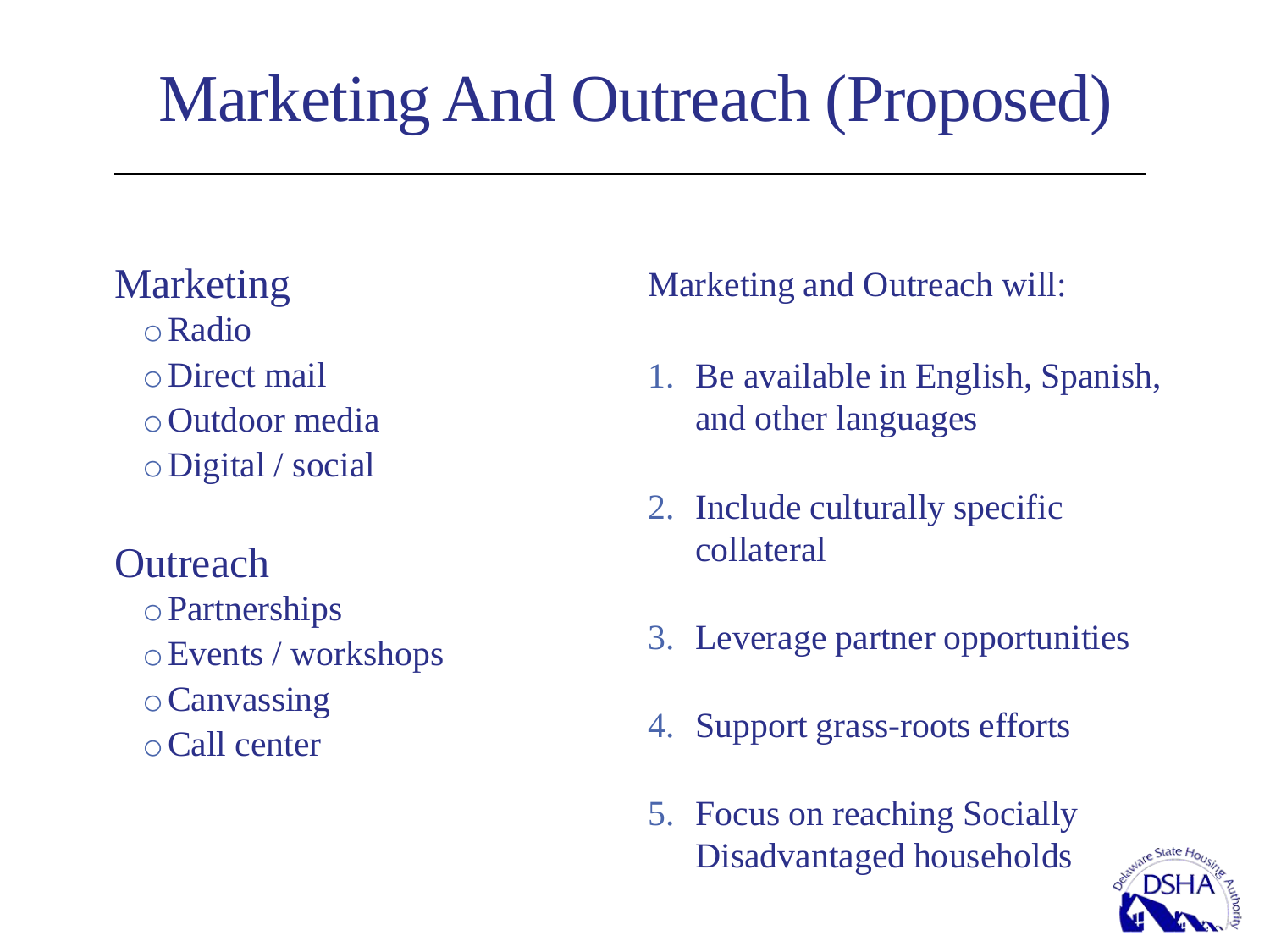## Marketing And Outreach (Proposed)

### Marketing

oRadio oDirect mail oOutdoor media oDigital / social

**Outreach** oPartnerships oEvents / workshops oCanvassing oCall center

Marketing and Outreach will:

- 1. Be available in English, Spanish, and other languages
- 2. Include culturally specific collateral
- 3. Leverage partner opportunities
- 4. Support grass-roots efforts
- 5. Focus on reaching Socially Disadvantaged households

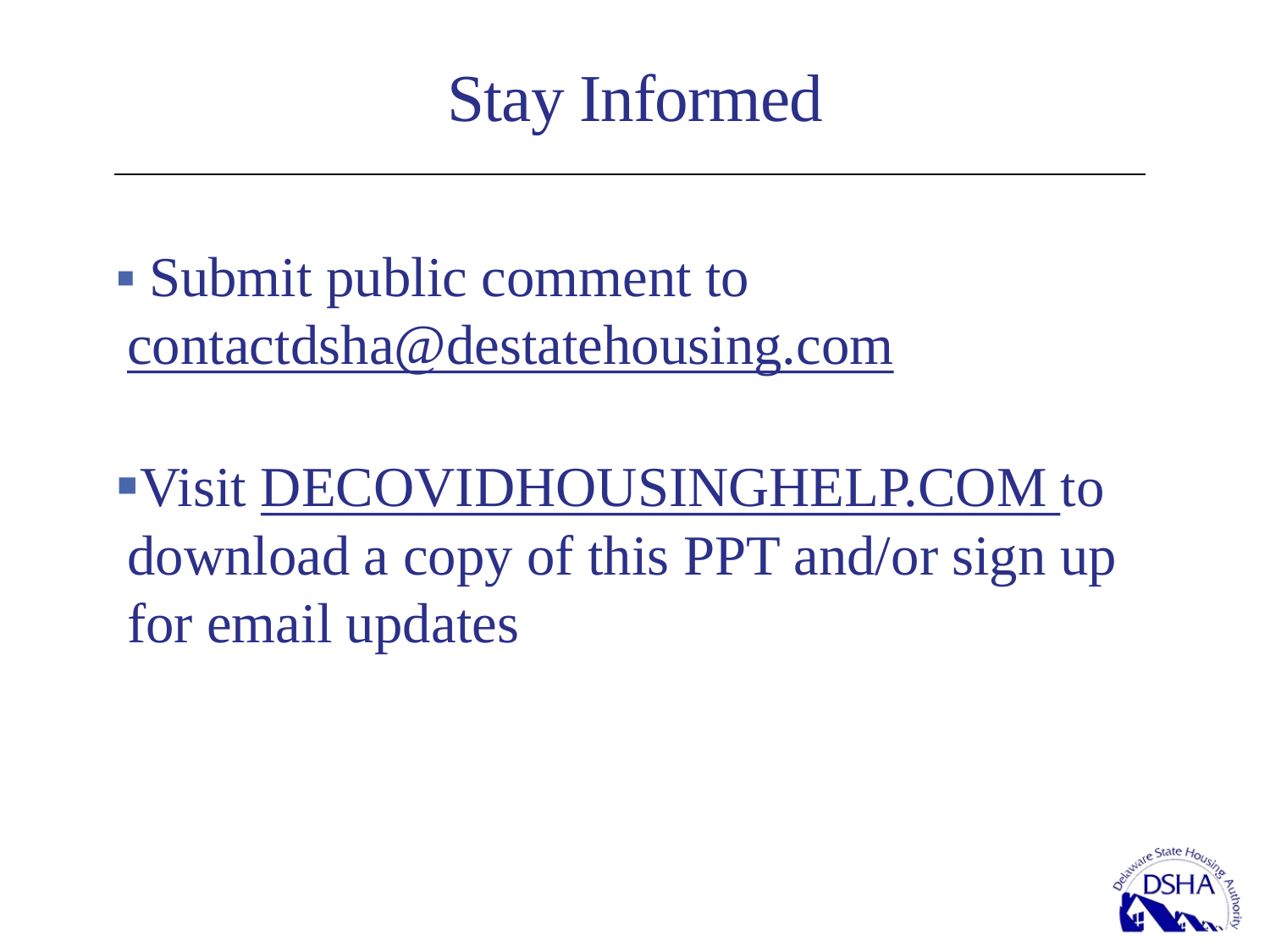Stay Informed

■ Submit public comment to [contactdsha@destatehousing.com](mailto:contactdsha@destatehousing.com)

▪Visit DECOVIDHOUSINGHELP.COM to download a copy of this PPT and/or sign up for email updates